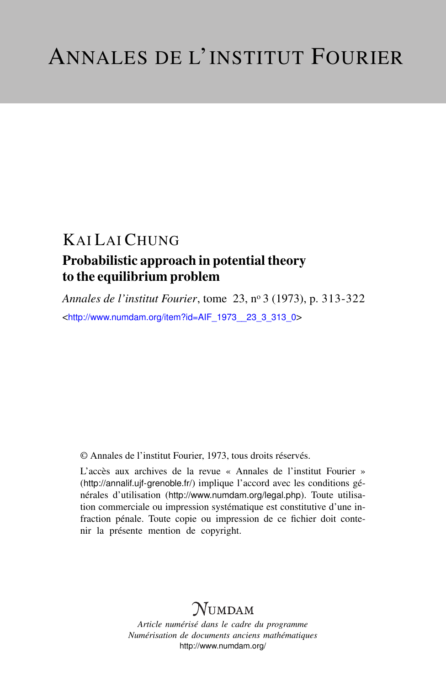# KAI LAI CHUNG

### Probabilistic approach in potential theory to the equilibrium problem

*Annales de l'institut Fourier*, tome 23, n<sup>o</sup> 3 (1973), p. 313-322 <[http://www.numdam.org/item?id=AIF\\_1973\\_\\_23\\_3\\_313\\_0](http://www.numdam.org/item?id=AIF_1973__23_3_313_0)>

© Annales de l'institut Fourier, 1973, tous droits réservés.

L'accès aux archives de la revue « Annales de l'institut Fourier » (<http://annalif.ujf-grenoble.fr/>) implique l'accord avec les conditions générales d'utilisation (<http://www.numdam.org/legal.php>). Toute utilisation commerciale ou impression systématique est constitutive d'une infraction pénale. Toute copie ou impression de ce fichier doit contenir la présente mention de copyright.

## NUMDAM

*Article numérisé dans le cadre du programme Numérisation de documents anciens mathématiques* <http://www.numdam.org/>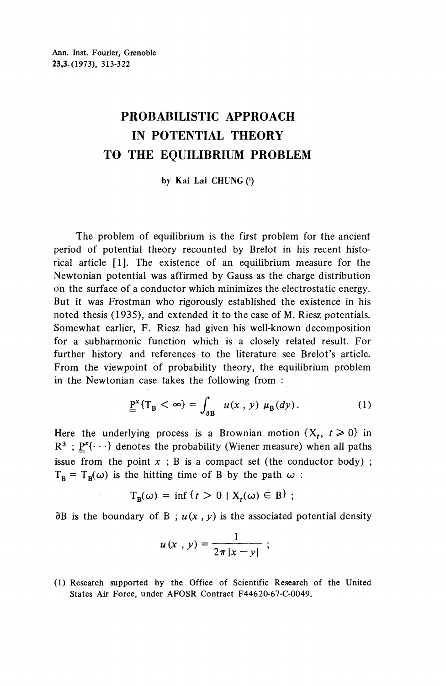### **PROBABILISTIC APPROACH IN POTENTIAL THEORY TO THE EQUILIBRIUM PROBLEM**

#### **by Kai Lai CHUNG (<sup>1</sup> )**

The problem of equilibrium is the first problem for the ancient period of potential theory recounted by Brelot in his recent historical article [1]. The existence of an equilibrium measure for the Newtonian potential was affirmed by Gauss as the charge distribution on the surface of a conductor which minimizes the electrostatic energy. But it was Frostman who rigorously established the existence in his noted thesis (1935), and extended it to the case of M. Riesz potentials. Somewhat earlier, F. Riesz had given his well-known decomposition for a subharmonic function which is a closely related result. For further history and references to the literature see Brelot's article. From the viewpoint of probability theory, the equilibrium problem in the Newtonian case takes the following from :

$$
\underline{\underline{P}}^{x} \{ T_B < \infty \} = \int_{\partial B} u(x, y) \mu_B(dy). \tag{1}
$$

Here the underlying process is a Brownian motion  $\{X_t, t \geq 0\}$  in  $R^3$ ;  $\underline{P}^x\{\cdot\cdot\cdot\}$  denotes the probability (Wiener measure) when all paths issue from the point  $x$ ;  $B$  is a compact set (the conductor body);  $T_{\rm B} = T_{\rm B}(\omega)$  is the hitting time of B by the path  $\omega$ 

$$
T_B(\omega) = \inf \{ t > 0 \mid X_t(\omega) \in B \} ;
$$

 $\partial B$  is the boundary of B;  $u(x, y)$  is the associated potential density

$$
u(x, y) = \frac{1}{2\pi|x-y|} ;
$$

(1) Research supported by the Office of Scientific Research of the United States Air Force, under AFOSR Contract F44620-67-C-0049.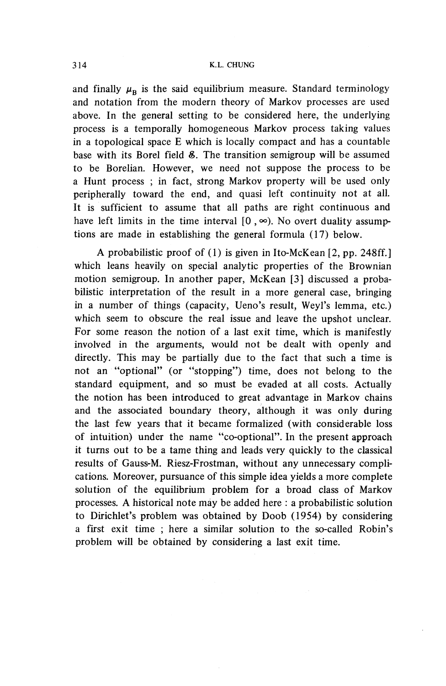and finally  $\mu_{\rm R}$  is the said equilibrium measure. Standard terminology and notation from the modern theory of Markov processes are used above. In the general setting to be considered here, the underlying process is a temporally homogeneous Markov process taking values in a topological space E which is locally compact and has a countable base with its Borel field &. The transition semigroup will be assumed to be Borelian. However, we need not suppose the process to be a Hunt process ; in fact, strong Markov property will be used only peripherally toward the end, and quasi left continuity not at all. It is sufficient to assume that all paths are right continuous and have left limits in the time interval  $[0, \infty)$ . No overt duality assumptions are made in establishing the general formula (17) below.

A probabilistic proof of (1) is given in Ito-McKean [2, pp. 248ff.] which leans heavily on special analytic properties of the Brownian motion semigroup. In another paper, McKean [3] discussed a probabilistic interpretation of the result in a more general case, bringing in a number of things (capacity, Ueno's result, Weyl's lemma, etc.) which seem to obscure the real issue and leave the upshot unclear. For some reason the notion of a last exit time, which is manifestly involved in the arguments, would not be dealt with openly and directly. This may be partially due to the fact that such a time is not an "optional" (or "stopping") time, does not belong to the standard equipment, and so must be evaded at all costs. Actually the notion has been introduced to great advantage in Markov chains and the associated boundary theory, although it was only during the last few years that it became formalized (with considerable loss of intuition) under the name "co-optional". In the present approach it turns out to be a tame thing and leads very quickly to the classical results of Gauss-M. Riesz-Frostman, without any unnecessary complications. Moreover, pursuance of this simple idea yields a more complete solution of the equilibrium problem for a broad class of Markov processes. A historical note may be added here : a probabilistic solution to Dirichlet's problem was obtained by Doob (1954) by considering a first exit time ; here a similar solution to the so-called Robin's problem will be obtained by considering a last exit time.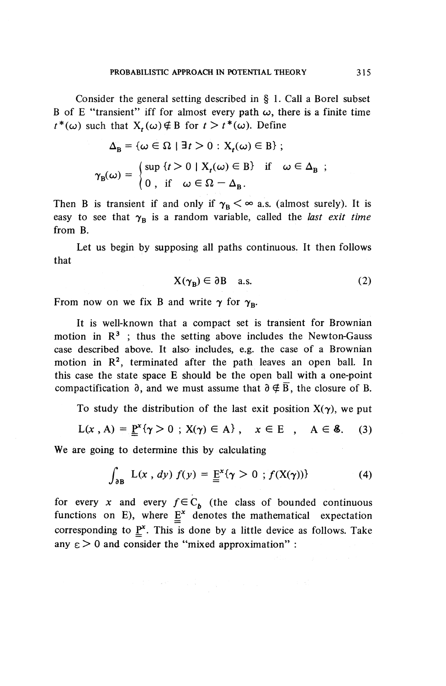Consider the general setting described in § 1. Call a Borel subset B of E "transient" iff for almost every path  $\omega$ , there is a finite time  $t^*(\omega)$  such that  $X_t(\omega) \notin B$  for  $t > t^*(\omega)$ . Define

$$
\Delta_{\mathbf{B}} = \{ \omega \in \Omega \mid \exists t > 0 : \mathbf{X}_t(\omega) \in \mathbf{B} \} ;
$$
  

$$
\gamma_{\mathbf{B}}(\omega) = \begin{cases} \sup \{ t > 0 \mid \mathbf{X}_t(\omega) \in \mathbf{B} \} & \text{if } \omega \in \Delta_{\mathbf{B}} ; \\ 0, & \text{if } \omega \in \Omega - \Delta_{\mathbf{B}} . \end{cases}
$$

Then B is transient if and only if  $\gamma_B < \infty$  a.s. (almost surely). It is easy to see that  $\gamma_B$  is a random variable, called the *last exit time* from B.

Let us begin by supposing all paths continuous. It then follows that

$$
X(\gamma_B) \in \partial B \quad a.s. \tag{2}
$$

From now on we fix B and write  $\gamma$  for  $\gamma_{B}$ .

It is well-known that a compact set is transient for Brownian motion in  $\mathbb{R}^3$ ; thus the setting above includes the Newton-Gauss case described above. It also includes, e.g. the case of a Brownian motion in  $\mathbb{R}^2$ , terminated after the path leaves an open ball. In this case the state space E should be the open ball with a one-point compactification  $\partial$ , and we must assume that  $\partial \notin \overline{B}$ , the closure of B.

To study the distribution of the last exit position  $X(\gamma)$ , we put

$$
L(x, A) = \underline{P}^{x} \{ \gamma > 0 \, ; \, X(\gamma) \in A \}, \quad x \in E \quad , \quad A \in \mathcal{E}. \tag{3}
$$

We are going to determine this by calculating

$$
\int_{\partial B} L(x, dy) f(y) = \underline{\underline{F}}^{x} \{ \gamma > 0 ; f(X(\gamma)) \}
$$
 (4)

for every x and every  $f \in C_b$  (the class of bounded continuous functions on E), where  $E^x$  denotes the mathematical expectation corresponding to  $\underline{P}^x$ . This is done by a little device as follows. Take any  $\epsilon$  > 0 and consider the "mixed approximation" :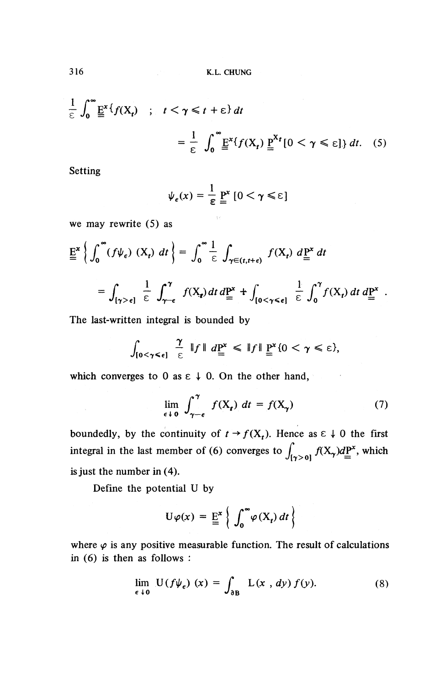$$
\frac{1}{\varepsilon} \int_0^\infty \underline{E}^x \{ f(X_t) \; ; \; t < \gamma \le t + \varepsilon \} \, dt
$$
\n
$$
= \frac{1}{\varepsilon} \int_0^\infty \underline{E}^x \{ f(X_t) \, \underline{P}^{X_t} [0 < \gamma \le \varepsilon] \} \, dt. \tag{5}
$$

Setting

$$
\psi_{\epsilon}(x) = \frac{1}{\epsilon} \underline{P}^{x} [0 < \gamma \leq \epsilon]
$$

 $\bar{\gamma}$  .

we may rewrite (5) as

we may rewrite (3) as  
\n
$$
\underline{E}^{x} \left\{ \int_{0}^{\infty} (f \psi_{\epsilon}) (X_{t}) dt \right\} = \int_{0}^{\infty} \frac{1}{\epsilon} \int_{\gamma \in (t, t + \epsilon)} f(X_{t}) d\underline{P}^{x} dt
$$
\n
$$
= \int_{[\gamma > \epsilon]} \frac{1}{\epsilon} \int_{\gamma - \epsilon}^{\gamma} f(X_{t}) dt d\underline{P}^{x} + \int_{[0 < \gamma \leq \epsilon]} \frac{1}{\epsilon} \int_{0}^{\gamma} f(X_{t}) dt d\underline{P}^{x}
$$

The last-written integral is bounded by

$$
\int_{[0<\gamma<\epsilon]}\frac{\gamma}{\epsilon}\,\|f\|\,d\underline{P}^x\,\leq\,\|f\|\,\underline{P}^x\{0<\gamma\leq\epsilon\},
$$

which converges to 0 as  $\epsilon \downarrow 0$ . On the other hand,

$$
\frac{1}{\epsilon} \quad \text{if} \quad d\underline{P}^x \leq \|f\| \, \underline{P}^x \{0 < \gamma \leq \epsilon\},
$$
\n
$$
0 \text{ as } \epsilon \downarrow 0. \text{ On the other hand,}
$$
\n
$$
\lim_{\epsilon \downarrow 0} \int_{\gamma - \epsilon}^{\gamma} f(X_t) \, dt = f(X_{\gamma}) \tag{7}
$$

boundedly, by the continuity of  $t \rightarrow f(X_t)$ . Hence as  $\epsilon \downarrow 0$  the first integral in the last member of (6) converges to  $\int_{\gamma>0} f(X_\gamma) dP^x$ , which is just the number in (4).

Define the potential U by

$$
U\varphi(x) = \underline{E}^x \left\{ \int_0^\infty \varphi(X_t) dt \right\}
$$

where  $\varphi$  is any positive measurable function. The result of calculations in (6) is then as follows :

$$
\lim_{\epsilon \to 0} U(f\psi_{\epsilon}) (x) = \int_{\partial B} L(x, dy) f(y). \tag{8}
$$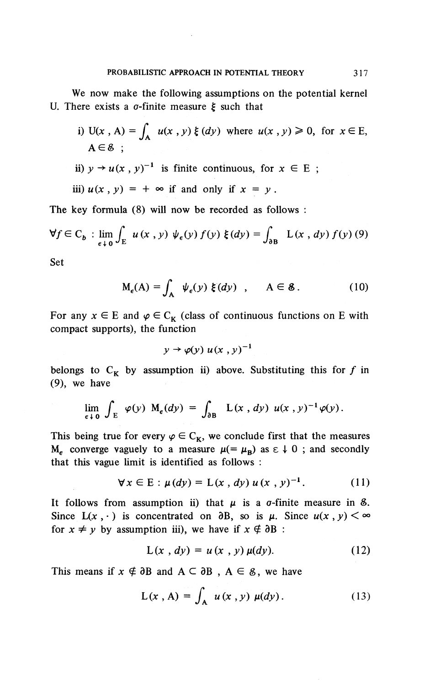We now make the following assumptions on the potential kernel U. There exists a  $\sigma$ -finite measure  $\xi$  such that

- i) U(x, A) =  $\int_{0}^{b} u(x, y) \xi(dy)$  where  $u(x, y) \ge 0$ , for  $x \in E$ ,  $A \in \mathcal{E}$ :
- ii)  $y \rightarrow u(x, y)^{-1}$  is finite continuous, for  $x \in E$ ;

iii)  $u(x, y) = +\infty$  if and only if  $x = y$ .

The key formula (8) will now be recorded as follows :

$$
\forall f \in C_b : \lim_{\epsilon \to 0} \int_E u(x, y) \psi_{\epsilon}(y) f(y) \xi(dy) = \int_{\partial B} L(x, dy) f(y) (9)
$$

Set

$$
M_{\epsilon}(A) = \int_{A} \psi_{\epsilon}(y) \xi(dy) , \quad A \in \mathcal{E}.
$$
 (10)

For any  $x \in E$  and  $\varphi \in C_{\kappa}$  (class of continuous functions on E with compact supports), the function

$$
y \to \varphi(y) u(x, y)^{-1}
$$

belongs to  $C_K$  by assumption ii) above. Substituting this for f in (9), we have

$$
\lim_{\epsilon \downarrow 0} \int_{E} \varphi(y) M_{\epsilon}(dy) = \int_{\partial B} L(x, dy) u(x, y)^{-1} \varphi(y).
$$

This being true for every  $\varphi \in C_{\kappa}$ , we conclude first that the measures  $M_e$  converge vaguely to a measure  $\mu (= \mu_B)$  as  $\epsilon \downarrow 0$ ; and secondly that this vague limit is identified as follows :

$$
\forall x \in E : \mu(dy) = L(x, dy) \, u(x, y)^{-1}.
$$
 (11)

It follows from assumption ii) that  $\mu$  is a  $\sigma$ -finite measure in  $\delta$ . Since  $L(x, \cdot)$  is concentrated on  $\partial B$ , so is  $\mu$ . Since  $u(x, y) < \infty$ for  $x \neq y$  by assumption iii), we have if  $x \notin \partial B$  :

$$
L(x, dy) = u(x, y) \mu(dy).
$$
 (12)

This means if  $x \notin \partial B$  and  $A \subseteq \partial B$ ,  $A \in \mathcal{E}$ , we have

$$
L(x, A) = \int_{A} u(x, y) \mu(dy).
$$
 (13)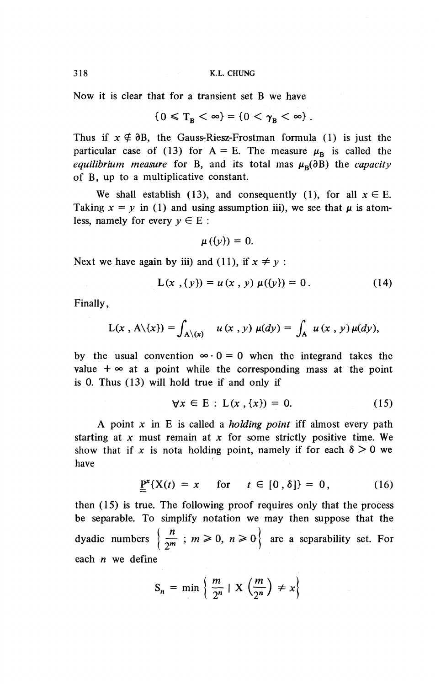Now it is clear that for a transient set B we have

$$
\{0 \leqslant T_{\rm B} < \infty\} = \{0 < \gamma_{\rm B} < \infty\}.
$$

Thus if  $x \notin \partial B$ , the Gauss-Riesz-Frostman formula (1) is just the Thus if  $x \notin \partial B$ , the Gauss-Riesz-Frostman formula (1) is just the particular case of (13) for  $A = E$ . The measure  $\mu_B$  is called the *equilibrium measure* for B, and its total mas  $\mu_B(\partial B)$  the *capacity* of B, up to a multiplicative constant.

We shall establish (13), and consequently (1), for all  $x \in E$ . Taking  $x = y$  in (1) and using assumption iii), we see that  $\mu$  is atomless, namely for every  $y \in E$ :

$$
\mu(\{\nu\})=0.
$$

Next we have again by iii) and (11), if  $x \neq y$ :

$$
L(x, {y}) = u(x, y) \mu({y}) = 0.
$$
 (14)

**Finally,**

$$
L(x, A\setminus\{x\}) = \int_{A\setminus\{x\}} u(x, y) \mu(dy) = \int_A u(x, y) \mu(dy),
$$

by the usual convention  $\infty \cdot 0 = 0$  when the integrand takes the value  $+ \infty$  at a point while the corresponding mass at the point is 0. Thus (13) will hold true if and only if

$$
\forall x \in E : L(x, \{x\}) = 0. \tag{15}
$$

A point x in E is called a *holding point* iff almost every path starting at *x* must remain at *x* for some strictly positive time. We show that if x is nota holding point, namely if for each  $\delta > 0$  we have

$$
\underline{\mathbf{P}}^{\mathbf{x}}\{X(t) = x \quad \text{for} \quad t \in [0,\delta]\} = 0, \tag{16}
$$

then (15) is true. The following proof requires only that the process be separable. To simplify notation we may then suppose that the dyadic numbers  $\left\{\frac{n}{2^m} : m \geq 0, n \geq 0\right\}$  are a separability set. For each *n* we define

$$
S_n = \min \left\{ \frac{m}{2^n} \mid X \left( \frac{m}{2^n} \right) \neq x \right\}
$$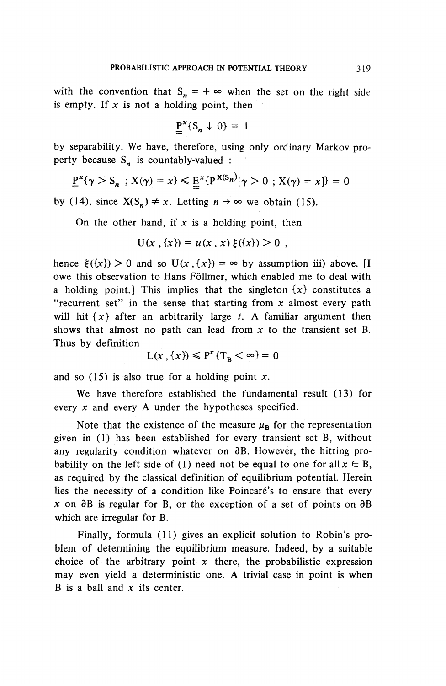with the convention that  $S_n = +\infty$  when the set on the right side is empty. If  $x$  is not a holding point, then

$$
\underline{P}^x \{ S_n \downarrow 0 \} = 1
$$

by separability. We have, therefore, using only ordinary Markov property because  $S_n$  is countably-valued :

$$
\underline{P}^{x}\{\gamma > S_n ; X(\gamma) = x\} \leq \underline{E}^{x}\{P^{X(S_n)}[\gamma > 0 ; X(\gamma) = x]\} = 0
$$

by (14), since  $X(S_n) \neq x$ . Letting  $n \to \infty$  we obtain (15).

On the other hand, if  $x$  is a holding point, then

$$
U(x, \{x\}) = u(x, x) \xi(\{x\}) > 0,
$$

hence  $\xi({x}) > 0$  and so  $U(x, {x}) = \infty$  by assumption iii) above. [I owe this observation to Hans Follmer, which enabled me to deal with a holding point.] This implies that the singleton  $\{x\}$  constitutes a "recurrent set" in the sense that starting from *x* almost every path will hit *{x}* after an arbitrarily large *t.* A familiar argument then shows that almost no path can lead from  $x$  to the transient set B. Thus by definition

$$
L(x, \{x\}) \le P^x \{T_B < \infty\} = 0
$$

and so (15) is also true for a holding point *x.*

**We** have therefore established the fundamental result (13) for every *x* and every A under the hypotheses specified.

Note that the existence of the measure  $\mu_B$  for the representation given in (1) has been established for every transient set B, without any regularity condition whatever on  $\partial B$ . However, the hitting probability on the left side of (1) need not be equal to one for all  $x \in B$ , as required by the classical definition of equilibrium potential. Herein lies the necessity of a condition like Poincaré's to ensure that every  $\bar{x}$  on  $\partial B$  is regular for B, or the exception of a set of points on  $\partial B$ which are irregular for B.

Finally, formula (11) gives an explicit solution to Robin's problem of determining the equilibrium measure. Indeed, by a suitable choice of the arbitrary point  $x$  there, the probabilistic expression may even yield a deterministic one. A trivial case in point is when B is a ball and *x* its center.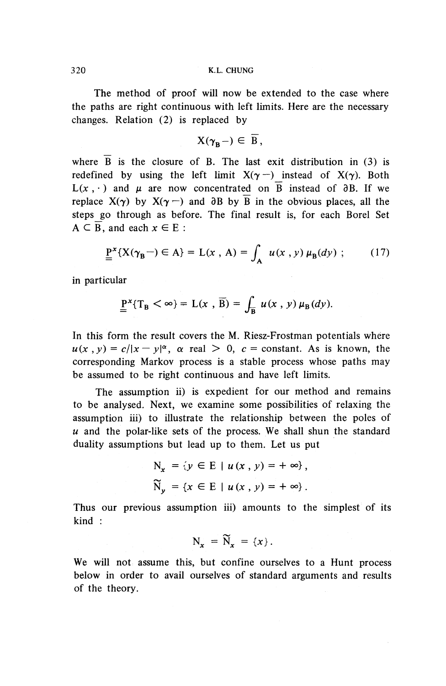The method of proof will now be extended to the case where the paths are right continuous with left limits. Here are the necessary changes. Relation (2) is replaced by

$$
X(\gamma_B-) \in \overline{B},
$$

where  $\overline{B}$  is the closure of B. The last exit distribution in (3) is redefined by using the left limit  $X(\gamma -)$  instead of  $X(\gamma)$ . Both  $L(x, \cdot)$  and  $\mu$  are now concentrated on  $\overline{B}$  instead of  $\partial B$ . If we replace  $X(y)$  by  $X(y-)$  and  $\partial B$  by  $\overline{B}$  in the obvious places, all the steps go through as before. The final result is, for each Borel Set  $A \subseteq \overline{B}$ , and each  $x \in E$ :

$$
\underline{P}^{x}\{X(\gamma_{B}-)\in A\} = L(x, A) = \int_{A} u(x, y) \mu_{B}(dy) ; \qquad (17)
$$

in particular

$$
\underline{P}^x \{ T_B < \infty \} = L(x , \overline{B}) = \int_{\overline{B}} u(x , y) \mu_B(dy).
$$

In this form the result covers the M. Riesz-Frostman potentials where  $u(x, y) = c/|x - y|^{\alpha}$ ,  $\alpha$  real  $> 0$ ,  $c = constant$ . As is known, the corresponding Markov process is a stable process whose paths may be assumed to be right continuous and have left limits.

The assumption ii) is expedient for our method and remains to be analysed. Next, we examine some possibilities of relaxing the assumption iii) to illustrate the relationship between the poles of *u* and the polar-like sets of the process. We shall shun the standard duality assumptions but lead up to them. Let us put

$$
N_x = \{ y \in E \mid u(x, y) = +\infty \},
$$
  

$$
\widetilde{N}_y = \{ x \in E \mid u(x, y) = +\infty \}.
$$

Thus our previous assumption iii) amounts to the simplest of its kind :

$$
N_x = \widetilde{N}_x = \{x\}.
$$

We will not assume this, but confine ourselves to a Hunt process below in order to avail ourselves of standard arguments and results of the theory.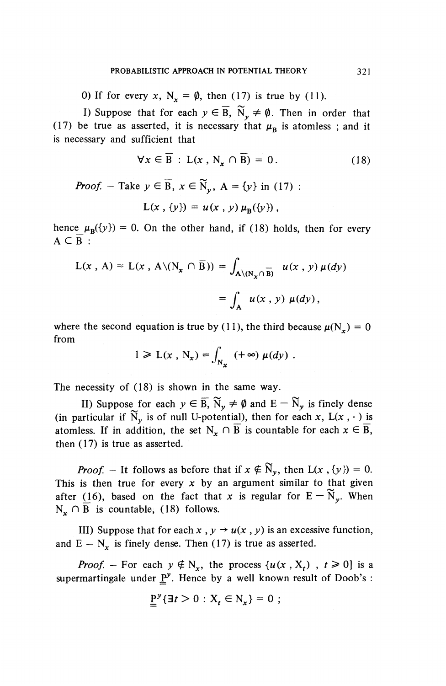0) If for every x,  $N_x = \emptyset$ , then (17) is true by (11).

I) Suppose that for each  $y \in \overline{B}$ ,  $\widetilde{N}_y \neq \emptyset$ . Then in order that (17) be true as asserted, it is necessary that  $\mu_B$  is atomless; and it is necessary and sufficient that

$$
\forall x \in \overline{B} : L(x, N_x \cap \overline{B}) = 0. \tag{18}
$$

*Proof.* - Take  $y \in \overline{B}$ ,  $x \in \widetilde{N}_v$ , A = {y} in (17) :  $L(x, \{y\}) = u(x, y) \mu_{\rm p}(\{y\}),$ 

hence  $\mu_B({y}) = 0$ . On the other hand, if (18) holds, then for every  $A \subseteq B$ :

$$
L(x, A) = L(x, A \setminus (N_x \cap \overline{B})) = \int_{A \setminus (N_x \cap \overline{B})} u(x, y) \mu(dy)
$$

$$
= \int_{A} u(x, y) \mu(dy),
$$

where the second equation is true by (11), the third because  $\mu(N_r) = 0$ from

$$
1 \geqslant L(x \, , \, N_x) = \int_{N_x} \, (+\infty) \, \mu(dy) \, .
$$

The necessity of (18) is shown in the same way.

II) Suppose for each  $y \in \overline{B}$ ,  $\widetilde{N}_y \neq \emptyset$  and  $E - \widetilde{N}_y$  is finely dense (in particular if  $\widetilde{N}_v$  is of null U-potential), then for each x, L(x, ·) is atomless. If in addition, the set  $N_x \cap \overline{B}$  is countable for each  $x \in \overline{B}$ , then (17) is true as asserted.

*Proof.* – It follows as before that if  $x \notin \widetilde{N}_y$ , then  $L(x, {y}) = 0$ . This is then true for every  $x$  by an argument similar to that given after (16), based on the fact that x is regular for  $E - \widetilde{N}_{\gamma}$ . When  $N_x \cap B$  is countable, (18) follows.

III) Suppose that for each  $x$ ,  $y \rightarrow u(x, y)$  is an excessive function, and  $E - N_x$  is finely dense. Then (17) is true as asserted.

*Proof.* – For each  $y \notin N_x$ , the process  $\{u(x, X_t)$ ,  $t \ge 0\}$  is a supermartingale under  $P^y$ . Hence by a well known result of Doob's :

$$
\underline{P}^y\{\exists t>0: X_t\in N_x\}=0;
$$